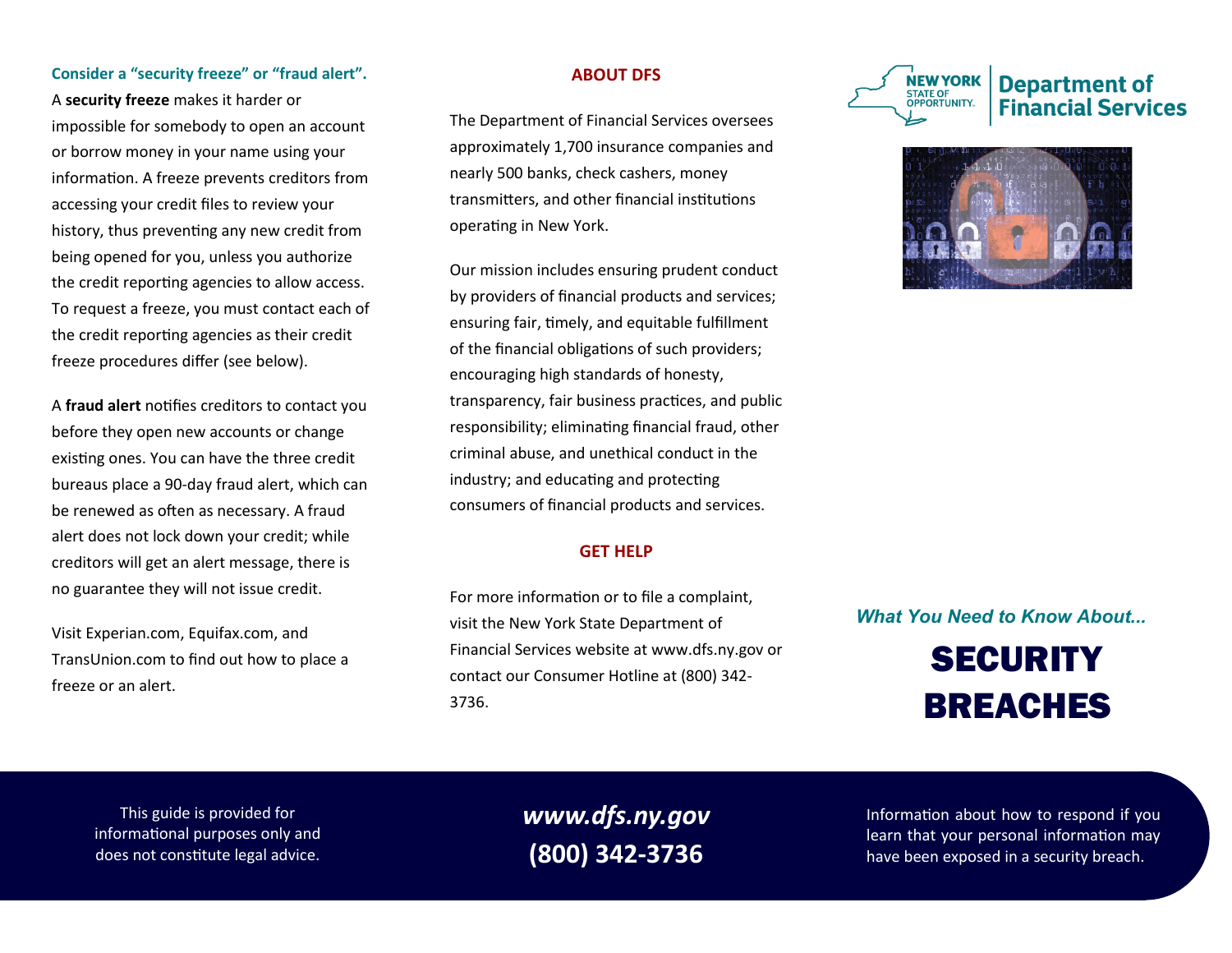## **Consider a "security freeze" or "fraud alert".**

A **security freeze** makes it harder or impossible for somebody to open an account or borrow money in your name using your information. A freeze prevents creditors from accessing your credit files to review your history, thus preventing any new credit from being opened for you, unless you authorize the credit reporting agencies to allow access. To request a freeze, you must contact each of the credit reporting agencies as their credit freeze procedures differ (see below).

A **fraud alert** notifies creditors to contact you before they open new accounts or change existing ones. You can have the three credit bureaus place a 90-day fraud alert, which can be renewed as often as necessary. A fraud alert does not lock down your credit; while creditors will get an alert message, there is no guarantee they will not issue credit.

Visit Experian.com, Equifax.com, and TransUnion.com to find out how to place a freeze or an alert.

## **ABOUT DFS**

The Department of Financial Services oversees approximately 1,700 insurance companies and nearly 500 banks, check cashers, money transmitters, and other financial institutions operating in New York.

Our mission includes ensuring prudent conduct by providers of financial products and services; ensuring fair, timely, and equitable fulfillment of the financial obligations of such providers; encouraging high standards of honesty, transparency, fair business practices, and public responsibility; eliminating financial fraud, other criminal abuse, and unethical conduct in the industry; and educating and protecting consumers of financial products and services.

### **GET HELP**

For more information or to file a complaint, visit the New York State Department of Financial Services website at [www.dfs.ny.gov](http://www.dfs.ny.gov) or contact our Consumer Hotline at (800) 342- 3736.





*What You Need to Know About...*

# **SECURITY** BREACHES

This guide is provided for informational purposes only and does not constitute legal advice.

*www.dfs.ny.gov* **(800) 342-3736**

Information about how to respond if you learn that your personal information may have been exposed in a security breach.